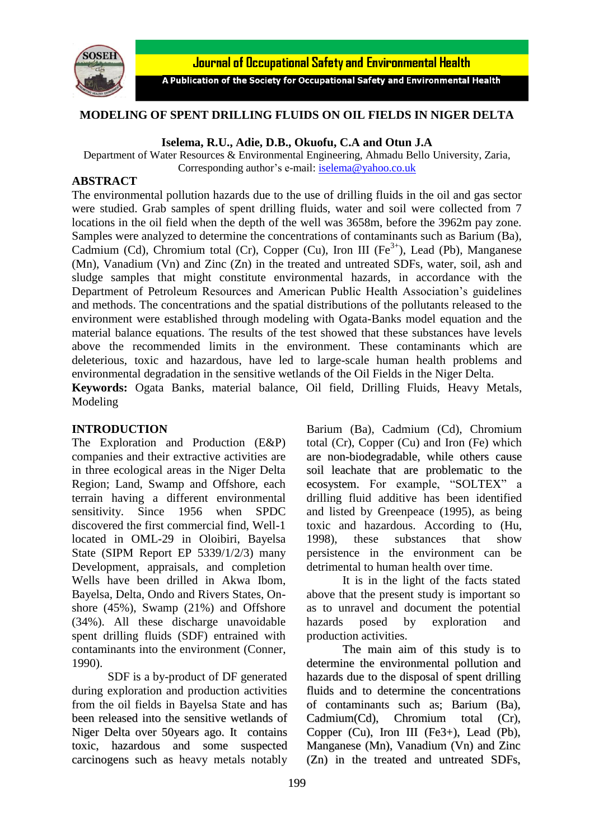

Journal of Occupational Safety and Environmental Health

A Publication of the Society for Occupational Safety and Environmental Health

### **MODELING OF SPENT DRILLING FLUIDS ON OIL FIELDS IN NIGER DELTA**

#### **Iselema, R.U., Adie, D.B., Okuofu, C.A and Otun J.A**

Department of Water Resources & Environmental Engineering, Ahmadu Bello University, Zaria, Corresponding author's e-mail: [iselema@yahoo.co.uk](mailto:iselema@yahoo.co.uk)

#### **ABSTRACT**

The environmental pollution hazards due to the use of drilling fluids in the oil and gas sector were studied. Grab samples of spent drilling fluids, water and soil were collected from 7 locations in the oil field when the depth of the well was 3658m, before the 3962m pay zone. Samples were analyzed to determine the concentrations of contaminants such as Barium (Ba), Cadmium (Cd), Chromium total (Cr), Copper (Cu), Iron III ( $Fe<sup>3+</sup>$ ), Lead (Pb), Manganese (Mn), Vanadium (Vn) and Zinc (Zn) in the treated and untreated SDFs, water, soil, ash and sludge samples that might constitute environmental hazards, in accordance with the Department of Petroleum Resources and American Public Health Association's guidelines and methods. The concentrations and the spatial distributions of the pollutants released to the environment were established through modeling with Ogata-Banks model equation and the material balance equations. The results of the test showed that these substances have levels above the recommended limits in the environment. These contaminants which are deleterious, toxic and hazardous, have led to large-scale human health problems and environmental degradation in the sensitive wetlands of the Oil Fields in the Niger Delta. **Keywords:** Ogata Banks, material balance, Oil field, Drilling Fluids, Heavy Metals,

Modeling

#### **INTRODUCTION**

The Exploration and Production (E&P) companies and their extractive activities are in three ecological areas in the Niger Delta Region; Land, Swamp and Offshore, each terrain having a different environmental sensitivity. Since 1956 when SPDC discovered the first commercial find, Well-1 located in OML-29 in Oloibiri, Bayelsa State (SIPM Report EP 5339/1/2/3) many Development, appraisals, and completion Wells have been drilled in Akwa Ibom, Bayelsa, Delta, Ondo and Rivers States, Onshore (45%), Swamp (21%) and Offshore (34%). All these discharge unavoidable spent drilling fluids (SDF) entrained with contaminants into the environment (Conner, 1990).

SDF is a by-product of DF generated during exploration and production activities from the oil fields in Bayelsa State and has been released into the sensitive wetlands of Niger Delta over 50years ago. It contains toxic, hazardous and some suspected carcinogens such as heavy metals notably

Barium (Ba), Cadmium (Cd), Chromium total (Cr), Copper (Cu) and Iron (Fe) which are non-biodegradable, while others cause soil leachate that are problematic to the ecosystem. For example, "SOLTEX" a drilling fluid additive has been identified and listed by Greenpeace (1995), as being toxic and hazardous. According to (Hu, 1998), these substances that show persistence in the environment can be detrimental to human health over time.

It is in the light of the facts stated above that the present study is important so as to unravel and document the potential hazards posed by exploration and production activities.

The main aim of this study is to determine the environmental pollution and hazards due to the disposal of spent drilling fluids and to determine the concentrations of contaminants such as; Barium (Ba), Cadmium(Cd), Chromium total (Cr), Copper (Cu), Iron III (Fe3+), Lead (Pb), Manganese (Mn), Vanadium (Vn) and Zinc (Zn) in the treated and untreated SDFs,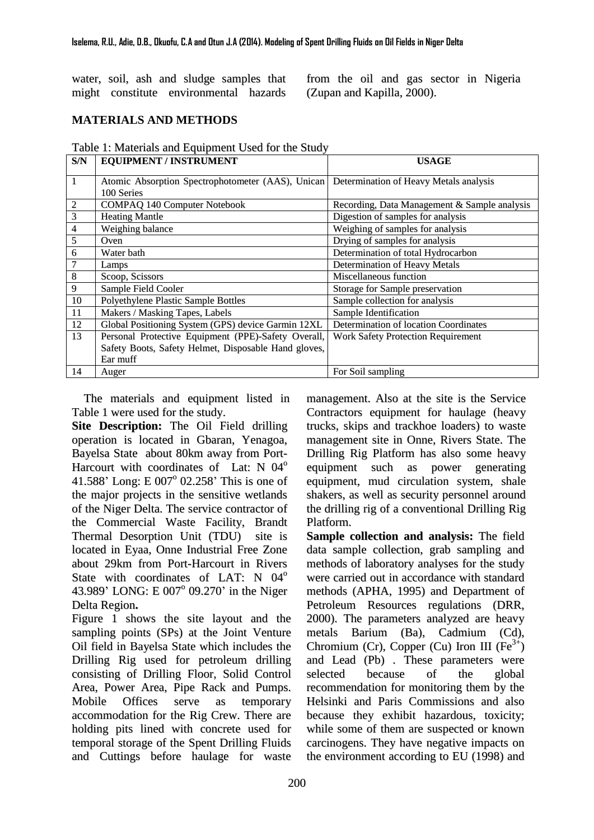water, soil, ash and sludge samples that might constitute environmental hazards

from the oil and gas sector in Nigeria (Zupan and Kapilla, 2000).

# **MATERIALS AND METHODS**

| Table 1: Materials and Equipment Used for the Study |
|-----------------------------------------------------|
|-----------------------------------------------------|

| S/N            | <b>EQUIPMENT / INSTRUMENT</b>                                   | <b>USAGE</b>                                 |
|----------------|-----------------------------------------------------------------|----------------------------------------------|
| $\mathbf{1}$   | Atomic Absorption Spectrophotometer (AAS), Unican<br>100 Series | Determination of Heavy Metals analysis       |
| $\overline{2}$ | <b>COMPAQ 140 Computer Notebook</b>                             | Recording, Data Management & Sample analysis |
| $\overline{3}$ | <b>Heating Mantle</b>                                           | Digestion of samples for analysis            |
| $\overline{4}$ | Weighing balance                                                | Weighing of samples for analysis             |
| 5              | Oven                                                            | Drying of samples for analysis               |
| 6              | Water bath                                                      | Determination of total Hydrocarbon           |
| $\overline{7}$ | Lamps                                                           | Determination of Heavy Metals                |
| $\bf 8$        | Scoop, Scissors                                                 | Miscellaneous function                       |
| 9              | Sample Field Cooler                                             | Storage for Sample preservation              |
| 10             | Polyethylene Plastic Sample Bottles                             | Sample collection for analysis               |
| 11             | Makers / Masking Tapes, Labels                                  | Sample Identification                        |
| 12             | Global Positioning System (GPS) device Garmin 12XL              | Determination of location Coordinates        |
| 13             | Personal Protective Equipment (PPE)-Safety Overall,             | <b>Work Safety Protection Requirement</b>    |
|                | Safety Boots, Safety Helmet, Disposable Hand gloves,            |                                              |
|                | Ear muff                                                        |                                              |
| 14             | Auger                                                           | For Soil sampling                            |

The materials and equipment listed in Table 1 were used for the study.

**Site Description:** The Oil Field drilling operation is located in Gbaran, Yenagoa, Bayelsa State about 80km away from Port-Harcourt with coordinates of Lat: N 04<sup>°</sup> 41.588' Long: E 007° 02.258' This is one of the major projects in the sensitive wetlands of the Niger Delta. The service contractor of the Commercial Waste Facility, Brandt Thermal Desorption Unit (TDU) site is located in Eyaa, Onne Industrial Free Zone about 29km from Port-Harcourt in Rivers State with coordinates of LAT: N 04<sup>o</sup> 43.989' LONG: E 007° 09.270' in the Niger Delta Region**.**

Figure 1 shows the site layout and the sampling points (SPs) at the Joint Venture Oil field in Bayelsa State which includes the Drilling Rig used for petroleum drilling consisting of Drilling Floor, Solid Control Area, Power Area, Pipe Rack and Pumps. Mobile Offices serve as temporary accommodation for the Rig Crew. There are holding pits lined with concrete used for temporal storage of the Spent Drilling Fluids and Cuttings before haulage for waste management. Also at the site is the Service Contractors equipment for haulage (heavy trucks, skips and trackhoe loaders) to waste management site in Onne, Rivers State. The Drilling Rig Platform has also some heavy equipment such as power generating equipment, mud circulation system, shale shakers, as well as security personnel around the drilling rig of a conventional Drilling Rig Platform.

**Sample collection and analysis:** The field data sample collection, grab sampling and methods of laboratory analyses for the study were carried out in accordance with standard methods (APHA, 1995) and Department of Petroleum Resources regulations (DRR, 2000). The parameters analyzed are heavy metals Barium (Ba), Cadmium (Cd), Chromium (Cr), Copper (Cu) Iron III ( $Fe^{3+}$ ) and Lead (Pb) . These parameters were selected because of the global recommendation for monitoring them by the Helsinki and Paris Commissions and also because they exhibit hazardous, toxicity; while some of them are suspected or known carcinogens. They have negative impacts on the environment according to EU (1998) and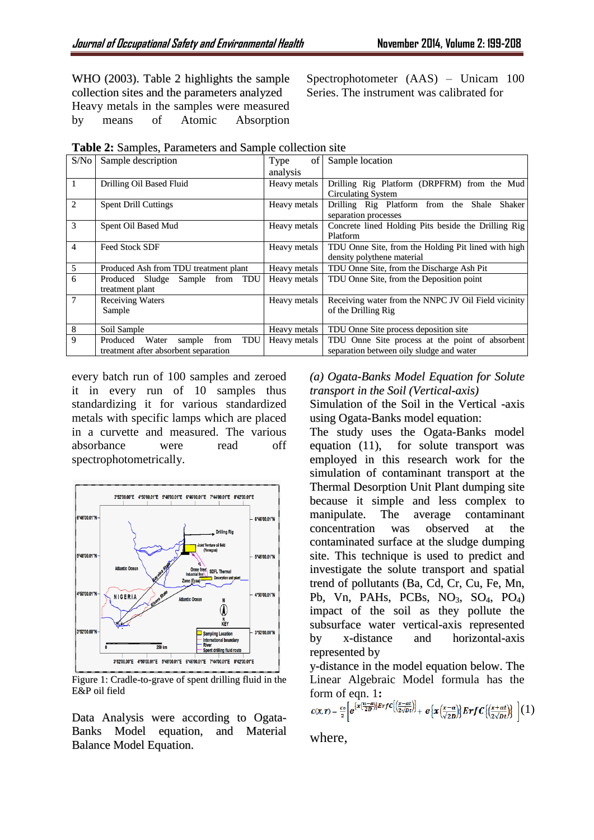WHO (2003). Table 2 highlights the sample collection sites and the parameters analyzed Heavy metals in the samples were measured by means of Atomic Absorption

Spectrophotometer (AAS) – Unicam 100 Series. The instrument was calibrated for

| S/No           | Sample description                            | Type<br>of   | Sample location                                     |  |  |  |  |
|----------------|-----------------------------------------------|--------------|-----------------------------------------------------|--|--|--|--|
|                |                                               | analysis     |                                                     |  |  |  |  |
| 1              | Drilling Oil Based Fluid                      | Heavy metals | Drilling Rig Platform (DRPFRM) from the Mud         |  |  |  |  |
|                |                                               |              | <b>Circulating System</b>                           |  |  |  |  |
|                | $\overline{2}$<br><b>Spent Drill Cuttings</b> |              | Drilling Rig Platform from the Shale<br>Shaker      |  |  |  |  |
|                |                                               |              | separation processes                                |  |  |  |  |
| 3              | Spent Oil Based Mud                           |              | Concrete lined Holding Pits beside the Drilling Rig |  |  |  |  |
|                |                                               |              | Platform                                            |  |  |  |  |
| $\overline{4}$ | <b>Feed Stock SDF</b>                         | Heavy metals | TDU Onne Site, from the Holding Pit lined with high |  |  |  |  |
|                |                                               |              | density polythene material                          |  |  |  |  |
| 5              | Produced Ash from TDU treatment plant         | Heavy metals | TDU Onne Site, from the Discharge Ash Pit           |  |  |  |  |
| 6              | Produced Sludge<br>Sample from TDU            | Heavy metals | TDU Onne Site, from the Deposition point            |  |  |  |  |
|                | treatment plant                               |              |                                                     |  |  |  |  |
| 7              | <b>Receiving Waters</b>                       | Heavy metals | Receiving water from the NNPC JV Oil Field vicinity |  |  |  |  |
|                | Sample                                        |              | of the Drilling Rig                                 |  |  |  |  |
|                |                                               |              |                                                     |  |  |  |  |
| 8              | Soil Sample                                   | Heavy metals | TDU Onne Site process deposition site               |  |  |  |  |
| 9              | TDU<br>from<br>Produced<br>Water<br>sample    | Heavy metals | TDU Onne Site process at the point of absorbent     |  |  |  |  |
|                | treatment after absorbent separation          |              | separation between oily sludge and water            |  |  |  |  |

|  | Table 2: Samples, Parameters and Sample collection site |  |  |  |  |
|--|---------------------------------------------------------|--|--|--|--|
|--|---------------------------------------------------------|--|--|--|--|

every batch run of 100 samples and zeroed it in every run of 10 samples thus standardizing it for various standardized metals with specific lamps which are placed in a curvette and measured. The various absorbance were read off spectrophotometrically.



Figure 1: Cradle-to-grave of spent drilling fluid in the E&P oil field

Data Analysis were according to Ogata-Banks Model equation, and Material Balance Model Equation.

### *(a) Ogata-Banks Model Equation for Solute transport in the Soil (Vertical-axis)*

Simulation of the Soil in the Vertical -axis using Ogata-Banks model equation:

The study uses the Ogata-Banks model equation (11), for solute transport was employed in this research work for the simulation of contaminant transport at the Thermal Desorption Unit Plant dumping site because it simple and less complex to manipulate. The average contaminant concentration was observed at the contaminated surface at the sludge dumping site. This technique is used to predict and investigate the solute transport and spatial trend of pollutants (Ba, Cd, Cr, Cu, Fe, Mn, Pb, Vn, PAHs, PCBs,  $NO<sub>3</sub>$ ,  $SO<sub>4</sub>$ ,  $PO<sub>4</sub>$ ) impact of the soil as they pollute the subsurface water vertical-axis represented by x-distance and horizontal-axis represented by

y-distance in the model equation below. The Linear Algebraic Model formula has the form of eqn. 1:

$$
c(x,\tau)=\frac{c_o}{2}\Bigg[e^{\big(\overline{x}\big(\frac{u-a}{2D}\big)\big)ErfC\big(\big(\frac{x-at}{2\sqrt{Dt}}\big)\big)}+e\big\{x\big(\frac{x-a}{\sqrt{2D}}\big)\big\}ErfC\big(\big(\frac{x+at}{2\sqrt{Dt}}\big)\bigg\}\ \bigg](1)
$$

where,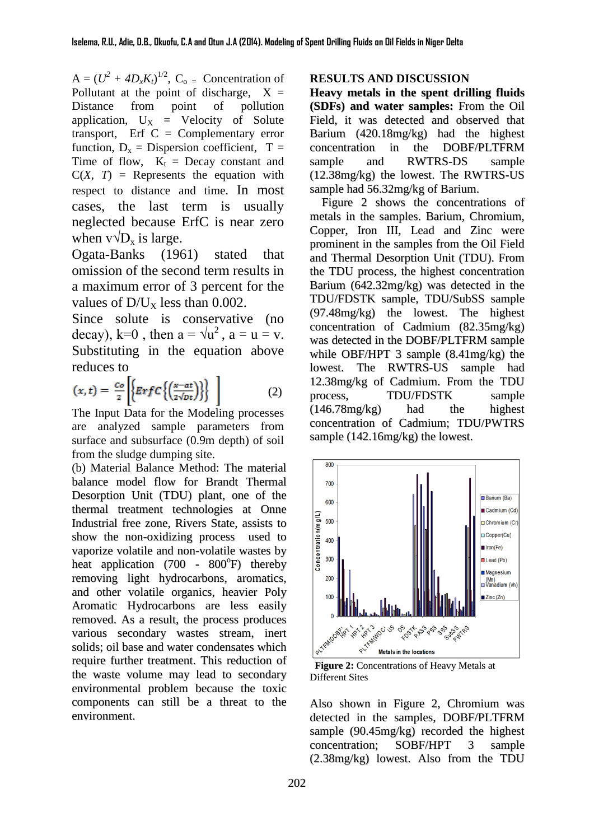$A = (U^2 + 4D_xK_t)^{1/2}$ ,  $C_o$  = Concentration of Pollutant at the point of discharge,  $X =$ Distance from point of pollution application,  $U_X$  = Velocity of Solute transport, Erf  $C =$  Complementary error function,  $D_x =$  Dispersion coefficient,  $T =$ Time of flow,  $K_t$  = Decay constant and  $C(X, T)$  = Represents the equation with respect to distance and time. In most cases, the last term is usually neglected because ErfC is near zero when  $v \sqrt{D_x}$  is large.

Ogata-Banks (1961) stated that omission of the second term results in a maximum error of 3 percent for the values of  $D/U_x$  less than 0.002.

Since solute is conservative (no decay), k=0, then  $a = \sqrt{u^2}$ ,  $a = u = v$ . Substituting in the equation above reduces to

$$
(x,t) = \frac{c_o}{2} \left[ \left\{ \mathbf{E} r f C \left\{ \left( \frac{x - at}{2\sqrt{Dt}} \right) \right\} \right\} \right] \tag{2}
$$

The Input Data for the Modeling processes are analyzed sample parameters from surface and subsurface (0.9m depth) of soil from the sludge dumping site.

(b) Material Balance Method: The material balance model flow for Brandt Thermal Desorption Unit (TDU) plant, one of the thermal treatment technologies at Onne Industrial free zone, Rivers State, assists to show the non-oxidizing process used to vaporize volatile and non-volatile wastes by heat application (700 - 800°F) thereby removing light hydrocarbons, aromatics, and other volatile organics, heavier Poly Aromatic Hydrocarbons are less easily removed. As a result, the process produces various secondary wastes stream, inert solids; oil base and water condensates which require further treatment. This reduction of the waste volume may lead to secondary environmental problem because the toxic components can still be a threat to the environment.

#### **RESULTS AND DISCUSSION**

**Heavy metals in the spent drilling fluids (SDFs) and water samples:** From the Oil Field, it was detected and observed that Barium (420.18mg/kg) had the highest concentration in the DOBF/PLTFRM sample and RWTRS-DS sample (12.38mg/kg) the lowest. The RWTRS-US sample had 56.32mg/kg of Barium.

Figure 2 shows the concentrations of metals in the samples. Barium, Chromium, Copper, Iron III, Lead and Zinc were prominent in the samples from the Oil Field and Thermal Desorption Unit (TDU). From the TDU process, the highest concentration Barium (642.32mg/kg) was detected in the TDU/FDSTK sample, TDU/SubSS sample (97.48mg/kg) the lowest. The highest concentration of Cadmium (82.35mg/kg) was detected in the DOBF/PLTFRM sample while OBF/HPT 3 sample (8.41mg/kg) the lowest. The RWTRS-US sample had 12.38mg/kg of Cadmium. From the TDU process, TDU/FDSTK sample (146.78mg/kg) had the highest concentration of Cadmium; TDU/PWTRS sample (142.16mg/kg) the lowest.



**Figure 2:** Concentrations of Heavy Metals at Different Sites

Also shown in Figure 2, Chromium was detected in the samples, DOBF/PLTFRM sample (90.45mg/kg) recorded the highest concentration; SOBF/HPT 3 sample (2.38mg/kg) lowest. Also from the TDU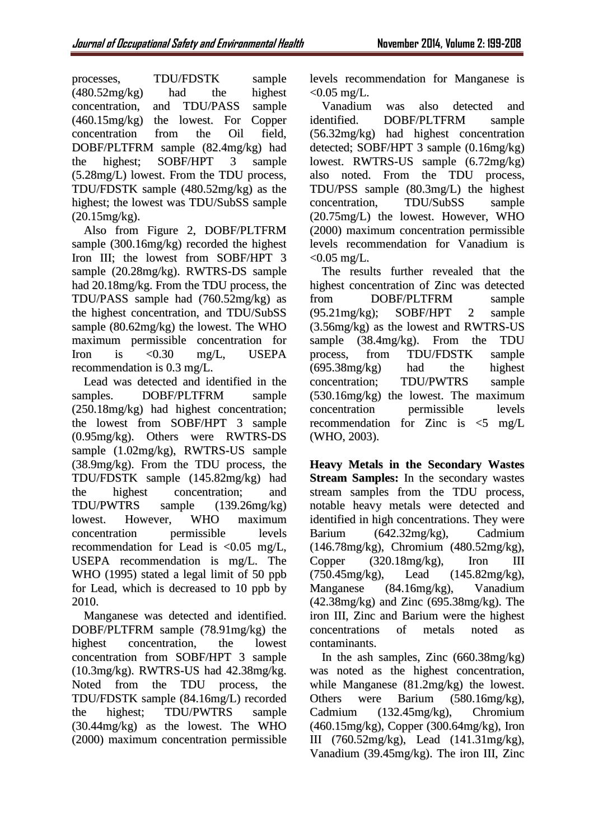processes, TDU/FDSTK sample (480.52mg/kg) had the highest concentration, and TDU/PASS sample (460.15mg/kg) the lowest. For Copper concentration from the Oil field, DOBF/PLTFRM sample (82.4mg/kg) had the highest; SOBF/HPT 3 sample (5.28mg/L) lowest. From the TDU process, TDU/FDSTK sample (480.52mg/kg) as the highest; the lowest was TDU/SubSS sample (20.15mg/kg).

Also from Figure 2, DOBF/PLTFRM sample (300.16mg/kg) recorded the highest Iron III; the lowest from SOBF/HPT 3 sample (20.28mg/kg). RWTRS-DS sample had 20.18mg/kg. From the TDU process, the TDU/PASS sample had (760.52mg/kg) as the highest concentration, and TDU/SubSS sample (80.62mg/kg) the lowest. The WHO maximum permissible concentration for Iron is <0.30 mg/L, USEPA recommendation is 0.3 mg/L.

Lead was detected and identified in the samples. DOBF/PLTFRM sample (250.18mg/kg) had highest concentration; the lowest from SOBF/HPT 3 sample (0.95mg/kg). Others were RWTRS-DS sample (1.02mg/kg), RWTRS-US sample (38.9mg/kg). From the TDU process, the TDU/FDSTK sample (145.82mg/kg) had the highest concentration; and TDU/PWTRS sample (139.26mg/kg) lowest. However, WHO maximum concentration permissible levels recommendation for Lead is <0.05 mg/L, USEPA recommendation is mg/L. The WHO (1995) stated a legal limit of 50 ppb for Lead, which is decreased to 10 ppb by 2010.

Manganese was detected and identified. DOBF/PLTFRM sample (78.91mg/kg) the highest concentration, the lowest concentration from SOBF/HPT 3 sample (10.3mg/kg). RWTRS-US had 42.38mg/kg. Noted from the TDU process, the TDU/FDSTK sample (84.16mg/L) recorded the highest; TDU/PWTRS sample (30.44mg/kg) as the lowest. The WHO (2000) maximum concentration permissible

levels recommendation for Manganese is  $< 0.05$  mg/L.

Vanadium was also detected and identified. DOBF/PLTFRM sample (56.32mg/kg) had highest concentration detected; SOBF/HPT 3 sample (0.16mg/kg) lowest. RWTRS-US sample (6.72mg/kg) also noted. From the TDU process, TDU/PSS sample (80.3mg/L) the highest concentration, TDU/SubSS sample (20.75mg/L) the lowest. However, WHO (2000) maximum concentration permissible levels recommendation for Vanadium is  $< 0.05$  mg/L.

The results further revealed that the highest concentration of Zinc was detected from DOBF/PLTFRM sample (95.21mg/kg); SOBF/HPT 2 sample (3.56mg/kg) as the lowest and RWTRS-US sample (38.4mg/kg). From the TDU process, from TDU/FDSTK sample (695.38mg/kg) had the highest concentration; TDU/PWTRS sample (530.16mg/kg) the lowest. The maximum concentration permissible levels recommendation for Zinc is  $\leq 5$  mg/L (WHO, 2003).

**Heavy Metals in the Secondary Wastes Stream Samples:** In the secondary wastes stream samples from the TDU process, notable heavy metals were detected and identified in high concentrations. They were Barium (642.32mg/kg), Cadmium (146.78mg/kg), Chromium (480.52mg/kg), Copper (320.18mg/kg), Iron III (750.45mg/kg), Lead (145.82mg/kg), Manganese (84.16mg/kg), Vanadium  $(42.38mg/kg)$  and Zinc  $(695.38mg/kg)$ . The iron III, Zinc and Barium were the highest concentrations of metals noted as contaminants.

In the ash samples, Zinc  $(660.38mg/kg)$ was noted as the highest concentration, while Manganese (81.2mg/kg) the lowest. Others were Barium (580.16mg/kg), Cadmium (132.45mg/kg), Chromium (460.15mg/kg), Copper (300.64mg/kg), Iron III (760.52mg/kg), Lead (141.31mg/kg), Vanadium (39.45mg/kg). The iron III, Zinc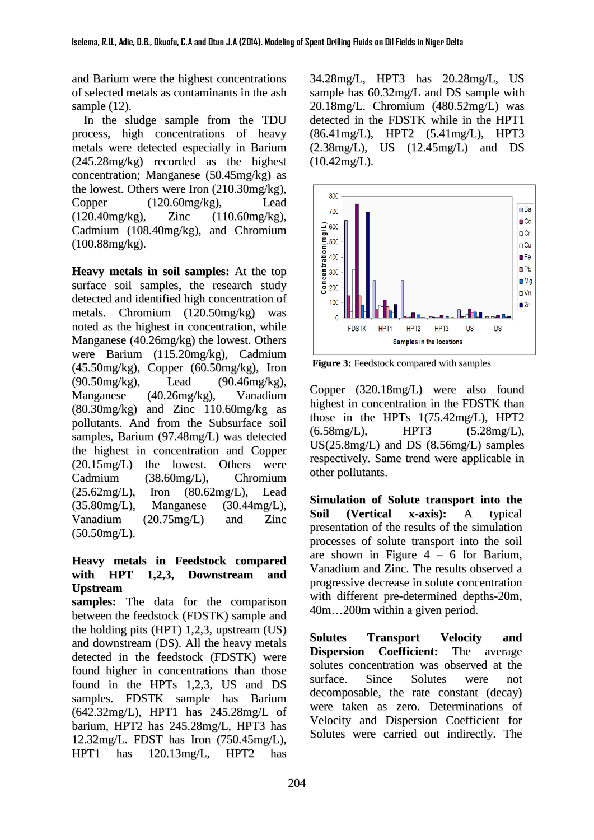and Barium were the highest concentrations of selected metals as contaminants in the ash sample (12).

In the sludge sample from the TDU process, high concentrations of heavy metals were detected especially in Barium (245.28mg/kg) recorded as the highest concentration; Manganese (50.45mg/kg) as the lowest. Others were Iron (210.30mg/kg), Copper (120.60mg/kg), Lead (120.40mg/kg), Zinc (110.60mg/kg), Cadmium (108.40mg/kg), and Chromium (100.88mg/kg).

**Heavy metals in soil samples:** At the top surface soil samples, the research study detected and identified high concentration of metals. Chromium (120.50mg/kg) was noted as the highest in concentration, while Manganese (40.26mg/kg) the lowest. Others were Barium (115.20mg/kg), Cadmium  $(45.50 \text{mg/kg})$ , Copper  $(60.50 \text{mg/kg})$ , Iron (90.50mg/kg), Lead (90.46mg/kg), Manganese (40.26mg/kg), Vanadium (80.30mg/kg) and Zinc 110.60mg/kg as pollutants. And from the Subsurface soil samples, Barium (97.48mg/L) was detected the highest in concentration and Copper (20.15mg/L) the lowest. Others were Cadmium (38.60mg/L), Chromium (25.62mg/L), Iron (80.62mg/L), Lead (35.80mg/L), Manganese (30.44mg/L), Vanadium (20.75mg/L) and Zinc (50.50mg/L).

## **Heavy metals in Feedstock compared with HPT 1,2,3, Downstream and Upstream**

**samples:** The data for the comparison between the feedstock (FDSTK) sample and the holding pits (HPT) 1,2,3, upstream (US) and downstream (DS). All the heavy metals detected in the feedstock (FDSTK) were found higher in concentrations than those found in the HPTs 1,2,3, US and DS samples. FDSTK sample has Barium (642.32mg/L), HPT1 has 245.28mg/L of barium, HPT2 has 245.28mg/L, HPT3 has 12.32mg/L. FDST has Iron (750.45mg/L), HPT1 has 120.13mg/L, HPT2 has

34.28mg/L, HPT3 has 20.28mg/L, US sample has 60.32mg/L and DS sample with 20.18mg/L. Chromium (480.52mg/L) was detected in the FDSTK while in the HPT1 (86.41mg/L), HPT2 (5.41mg/L), HPT3 (2.38mg/L), US (12.45mg/L) and DS (10.42mg/L).



**Figure 3:** Feedstock compared with samples

Copper (320.18mg/L) were also found highest in concentration in the FDSTK than those in the HPTs 1(75.42mg/L), HPT2 (6.58mg/L), HPT3 (5.28mg/L), US(25.8mg/L) and DS (8.56mg/L) samples respectively. Same trend were applicable in other pollutants.

**Simulation of Solute transport into the Soil (Vertical x-axis):** A typical presentation of the results of the simulation processes of solute transport into the soil are shown in Figure  $4 - 6$  for Barium, Vanadium and Zinc. The results observed a progressive decrease in solute concentration with different pre-determined depths-20m, 40m…200m within a given period.

**Solutes Transport Velocity and Dispersion Coefficient:** The average solutes concentration was observed at the surface. Since Solutes were not decomposable, the rate constant (decay) were taken as zero. Determinations of Velocity and Dispersion Coefficient for Solutes were carried out indirectly. The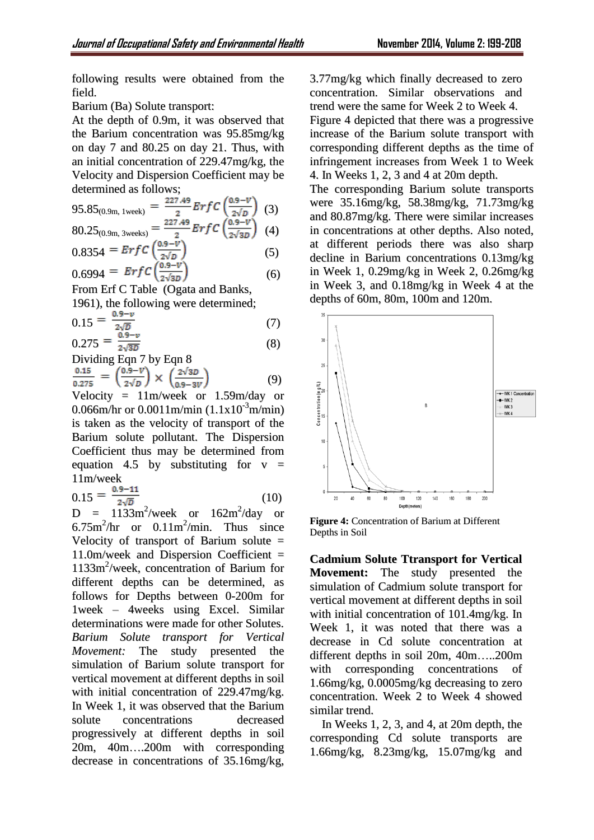following results were obtained from the field.

Barium (Ba) Solute transport:

At the depth of 0.9m, it was observed that the Barium concentration was 95.85mg/kg on day 7 and 80.25 on day 21. Thus, with an initial concentration of 229.47mg/kg, the Velocity and Dispersion Coefficient may be determined as follows;

$$
95.85_{(0.9m, 1 week)} = \frac{227.49}{2} ErfC\left(\frac{0.9-V}{2\sqrt{D}}\right)
$$
 (3)

$$
80.25_{(0.9\text{m}, 3 \text{ weeks})} = \frac{227.43}{2} ErfC\left(\frac{0.9 - v}{2\sqrt{3D}}\right)
$$
 (4)

$$
0.8354 = ErfC\left(\frac{1}{2\sqrt{D}}\right)
$$
\n
$$
0.6994 = ErfC\left(\frac{0.9-V}{2\sqrt{3D}}\right)
$$
\n(5)

From Erf C Table (Ogata and Banks,

1961), the following were determined;

$$
0.15 = \frac{0.9 - v}{2\sqrt{D}}\tag{7}
$$

$$
0.275 = \frac{0.9 - \nu}{2\sqrt{3D}}\tag{8}
$$

Dividing Eqn 7 by Eqn 8

$$
\frac{0.15}{0.275} = \left(\frac{0.9 - V}{2\sqrt{D}}\right) \times \left(\frac{2\sqrt{3D}}{0.9 - 3V}\right) \tag{9}
$$

Velocity =  $11m/$ week or  $1.59m/$ day or 0.066m/hr or  $0.0011$ m/min  $(1.1x10^{3}$ m/min) is taken as the velocity of transport of the Barium solute pollutant. The Dispersion Coefficient thus may be determined from equation 4.5 by substituting for  $y =$ 11m/week

 $0.15 = \frac{0.9 - 11}{2\sqrt{D}}$  (10)

 $D = 1133$ m<sup>2</sup>/week or  $162$ m<sup>2</sup>/day or  $6.75 \text{m}^2/\text{hr}$  or  $0.11 \text{m}^2/\text{min}$ . Thus since Velocity of transport of Barium solute  $=$  $11.0$ m/week and Dispersion Coefficient = 1133m 2 /week, concentration of Barium for different depths can be determined, as follows for Depths between 0-200m for 1week – 4weeks using Excel. Similar determinations were made for other Solutes. *Barium Solute transport for Vertical Movement:* The study presented the simulation of Barium solute transport for vertical movement at different depths in soil with initial concentration of 229.47mg/kg. In Week 1, it was observed that the Barium solute concentrations decreased progressively at different depths in soil 20m, 40m….200m with corresponding decrease in concentrations of 35.16mg/kg,

3.77mg/kg which finally decreased to zero concentration. Similar observations and trend were the same for Week 2 to Week 4. Figure 4 depicted that there was a progressive increase of the Barium solute transport with corresponding different depths as the time of infringement increases from Week 1 to Week 4. In Weeks 1, 2, 3 and 4 at 20m depth. The corresponding Barium solute transports

were 35.16mg/kg, 58.38mg/kg, 71.73mg/kg and 80.87mg/kg. There were similar increases in concentrations at other depths. Also noted, at different periods there was also sharp decline in Barium concentrations 0.13mg/kg in Week 1, 0.29mg/kg in Week 2, 0.26mg/kg in Week 3, and 0.18mg/kg in Week 4 at the depths of 60m, 80m, 100m and 120m.



**Figure 4:** Concentration of Barium at Different Depths in Soil

**Cadmium Solute Ttransport for Vertical Movement:** The study presented the simulation of Cadmium solute transport for vertical movement at different depths in soil with initial concentration of 101.4mg/kg. In Week 1, it was noted that there was a decrease in Cd solute concentration at different depths in soil 20m, 40m…..200m with corresponding concentrations of 1.66mg/kg, 0.0005mg/kg decreasing to zero concentration. Week 2 to Week 4 showed similar trend.

In Weeks 1, 2, 3, and 4, at 20m depth, the corresponding Cd solute transports are 1.66mg/kg, 8.23mg/kg, 15.07mg/kg and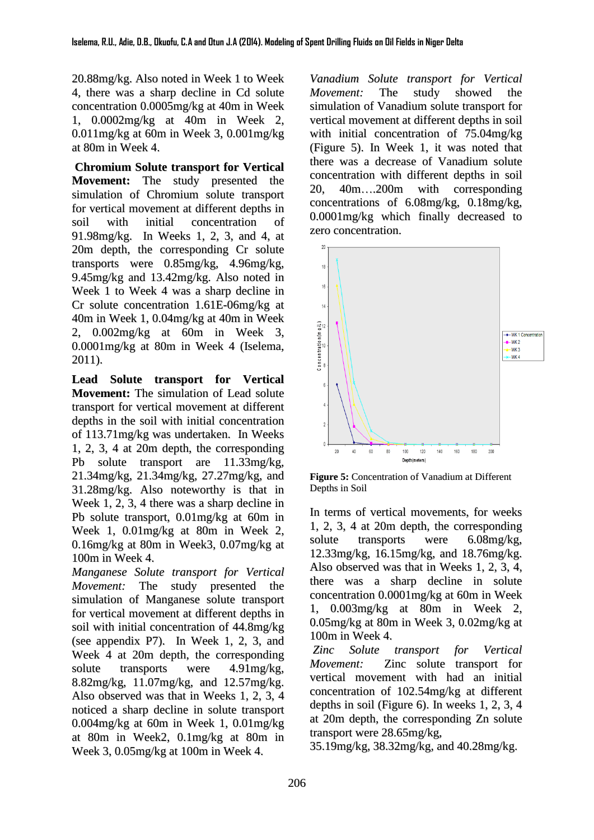20.88mg/kg. Also noted in Week 1 to Week 4, there was a sharp decline in Cd solute concentration 0.0005mg/kg at 40m in Week 1, 0.0002mg/kg at 40m in Week 2, 0.011mg/kg at 60m in Week 3, 0.001mg/kg at 80m in Week 4.

**Chromium Solute transport for Vertical Movement:** The study presented the simulation of Chromium solute transport for vertical movement at different depths in soil with initial concentration of 91.98mg/kg. In Weeks 1, 2, 3, and 4, at 20m depth, the corresponding Cr solute transports were 0.85mg/kg, 4.96mg/kg, 9.45mg/kg and 13.42mg/kg. Also noted in Week 1 to Week 4 was a sharp decline in Cr solute concentration 1.61E-06mg/kg at 40m in Week 1, 0.04mg/kg at 40m in Week 2, 0.002mg/kg at 60m in Week 3, 0.0001mg/kg at 80m in Week 4 (Iselema, 2011).

**Lead Solute transport for Vertical Movement:** The simulation of Lead solute transport for vertical movement at different depths in the soil with initial concentration of 113.71mg/kg was undertaken. In Weeks 1, 2, 3, 4 at 20m depth, the corresponding Pb solute transport are 11.33mg/kg, 21.34mg/kg, 21.34mg/kg, 27.27mg/kg, and 31.28mg/kg. Also noteworthy is that in Week 1, 2, 3, 4 there was a sharp decline in Pb solute transport, 0.01mg/kg at 60m in Week 1, 0.01mg/kg at 80m in Week 2, 0.16mg/kg at 80m in Week3, 0.07mg/kg at 100m in Week 4.

*Manganese Solute transport for Vertical Movement:* The study presented the simulation of Manganese solute transport for vertical movement at different depths in soil with initial concentration of 44.8mg/kg (see appendix P7). In Week 1, 2, 3, and Week 4 at 20m depth, the corresponding solute transports were 4.91mg/kg, 8.82mg/kg, 11.07mg/kg, and 12.57mg/kg. Also observed was that in Weeks 1, 2, 3, 4 noticed a sharp decline in solute transport 0.004mg/kg at 60m in Week 1, 0.01mg/kg at 80m in Week2, 0.1mg/kg at 80m in Week 3, 0.05mg/kg at 100m in Week 4.

*Vanadium Solute transport for Vertical Movement:* The study showed the simulation of Vanadium solute transport for vertical movement at different depths in soil with initial concentration of 75.04mg/kg (Figure 5). In Week 1, it was noted that there was a decrease of Vanadium solute concentration with different depths in soil 20, 40m….200m with corresponding concentrations of 6.08mg/kg, 0.18mg/kg, 0.0001mg/kg which finally decreased to zero concentration.



**Figure 5:** Concentration of Vanadium at Different Depths in Soil

In terms of vertical movements, for weeks 1, 2, 3, 4 at 20m depth, the corresponding solute transports were 6.08mg/kg, 12.33mg/kg, 16.15mg/kg, and 18.76mg/kg. Also observed was that in Weeks 1, 2, 3, 4, there was a sharp decline in solute concentration 0.0001mg/kg at 60m in Week 1, 0.003mg/kg at 80m in Week 2, 0.05mg/kg at 80m in Week 3, 0.02mg/kg at 100m in Week 4.

*Zinc Solute transport for Vertical Movement:* Zinc solute transport for vertical movement with had an initial concentration of 102.54mg/kg at different depths in soil (Figure 6). In weeks 1, 2, 3, 4 at 20m depth, the corresponding Zn solute transport were 28.65mg/kg,

35.19mg/kg, 38.32mg/kg, and 40.28mg/kg.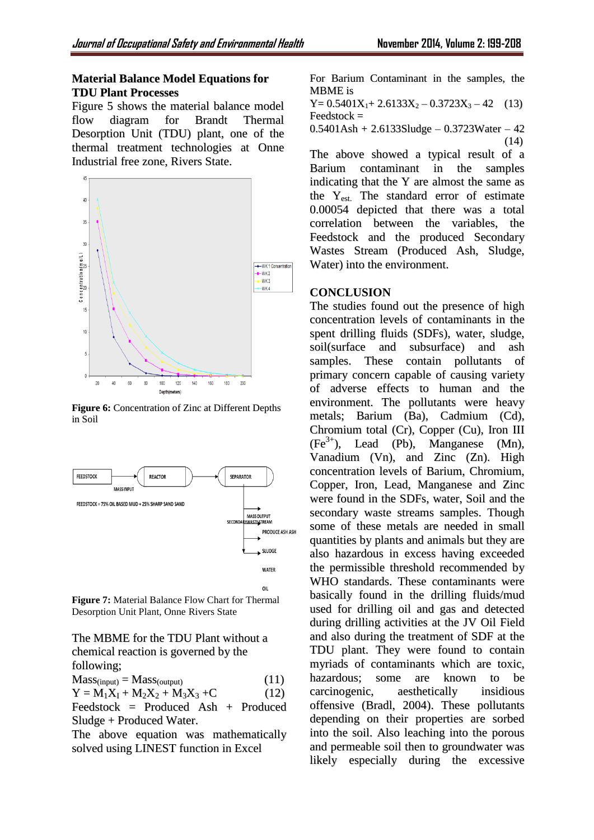### **Material Balance Model Equations for TDU Plant Processes**

Figure 5 shows the material balance model flow diagram for Brandt Thermal Desorption Unit (TDU) plant, one of the thermal treatment technologies at Onne Industrial free zone, Rivers State.



**Figure 6:** Concentration of Zinc at Different Depths in Soil



**Figure 7:** Material Balance Flow Chart for Thermal Desorption Unit Plant, Onne Rivers State

The MBME for the TDU Plant without a chemical reaction is governed by the following;

 $Mass<sub>(input)</sub> = Mass<sub>(output)</sub>$  (11)  $Y = M_1X_1 + M_2X_2 + M_3X_3 + C$  (12)

Feedstock = Produced Ash + Produced Sludge + Produced Water.

The above equation was mathematically solved using LINEST function in Excel

For Barium Contaminant in the samples, the MBME is

 $Y= 0.5401X_1+ 2.6133X_2 - 0.3723X_3 - 42$  (13) Feedstock =

0.5401Ash + 2.6133Sludge – 0.3723Water – 42 (14)

The above showed a typical result of a Barium contaminant in the samples indicating that the Y are almost the same as the Yest. The standard error of estimate 0.00054 depicted that there was a total correlation between the variables, the Feedstock and the produced Secondary Wastes Stream (Produced Ash, Sludge, Water) into the environment.

## **CONCLUSION**

The studies found out the presence of high concentration levels of contaminants in the spent drilling fluids (SDFs), water, sludge, soil(surface and subsurface) and ash samples. These contain pollutants of primary concern capable of causing variety of adverse effects to human and the environment. The pollutants were heavy metals; Barium (Ba), Cadmium (Cd), Chromium total (Cr), Copper (Cu), Iron III (Fe 3+ ), Lead (Pb), Manganese (Mn), Vanadium (Vn), and Zinc (Zn). High concentration levels of Barium, Chromium, Copper, Iron, Lead, Manganese and Zinc were found in the SDFs, water, Soil and the secondary waste streams samples. Though some of these metals are needed in small quantities by plants and animals but they are also hazardous in excess having exceeded the permissible threshold recommended by WHO standards. These contaminants were basically found in the drilling fluids/mud used for drilling oil and gas and detected during drilling activities at the JV Oil Field and also during the treatment of SDF at the TDU plant. They were found to contain myriads of contaminants which are toxic, hazardous; some are known to be carcinogenic, aesthetically insidious offensive (Bradl, 2004). These pollutants depending on their properties are sorbed into the soil. Also leaching into the porous and permeable soil then to groundwater was likely especially during the excessive